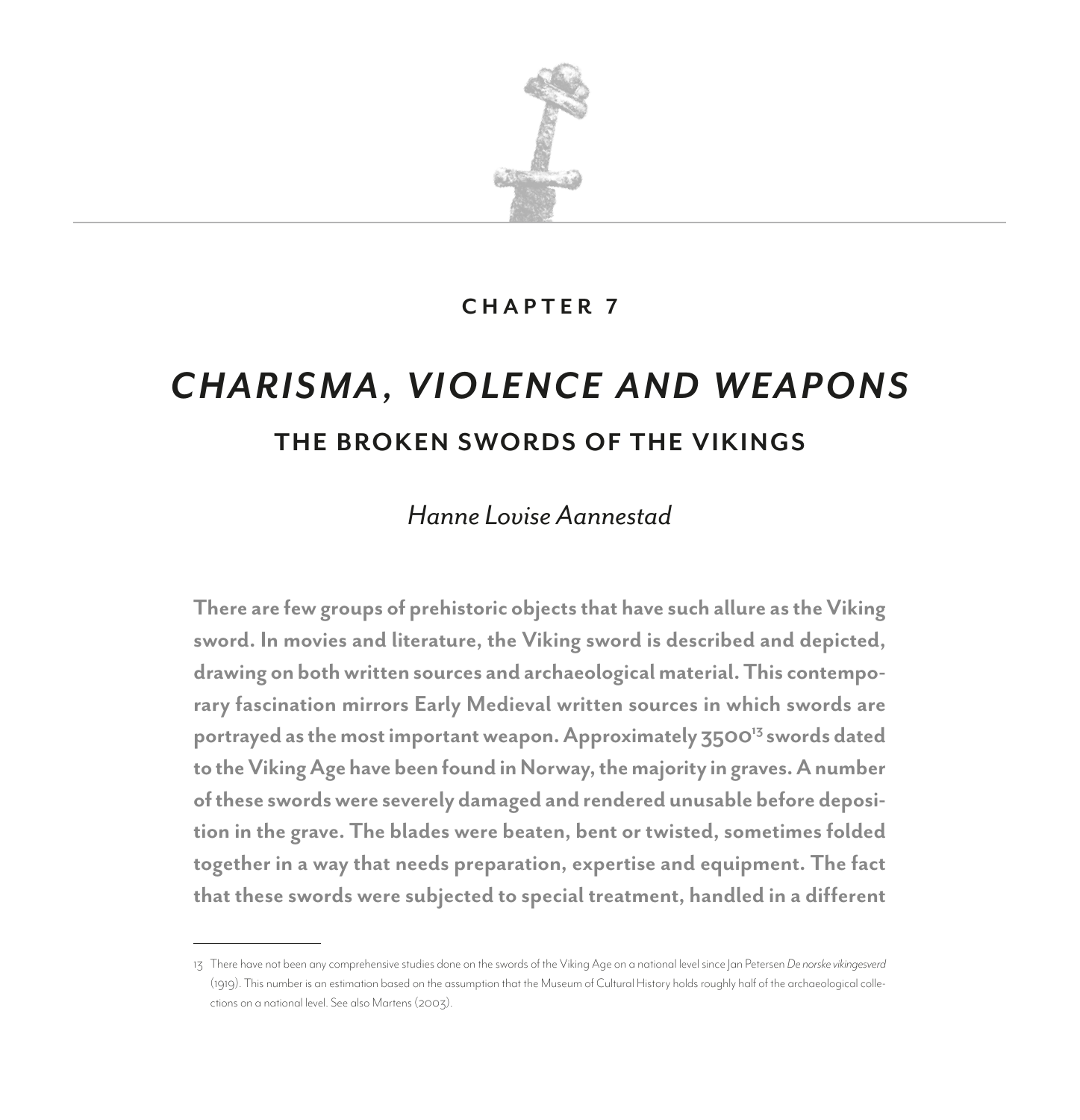

### **CHAPTER 7**

# *CHARISMA, VIOLENCE AND WEAPONS* **THE BROKEN SWORDS OF THE VIKINGS**

# *Hanne Lovise Aannestad*

**There are few groups of prehistoric objects that have such allure as the Viking sword. In movies and literature, the Viking sword is described and depicted, drawing on both written sources and archaeological material. This contemporary fascination mirrors Early Medieval written sources in which swords are portrayed as the most important weapon. Approximately 350013 swords dated to the Viking Age have been found in Norway, the majority in graves. A number of these swords were severely damaged and rendered unusable before deposition in the grave. The blades were beaten, bent or twisted, sometimes folded together in a way that needs preparation, expertise and equipment. The fact that these swords were subjected to special treatment, handled in a different** 

<sup>13</sup> There have not been any comprehensive studies done on the swords of the Viking Age on a national level since Jan Petersen *De norske vikingesverd* (1919). This number is an estimation based on the assumption that the Museum of Cultural History holds roughly half of the archaeological collections on a national level. See also Martens (2003).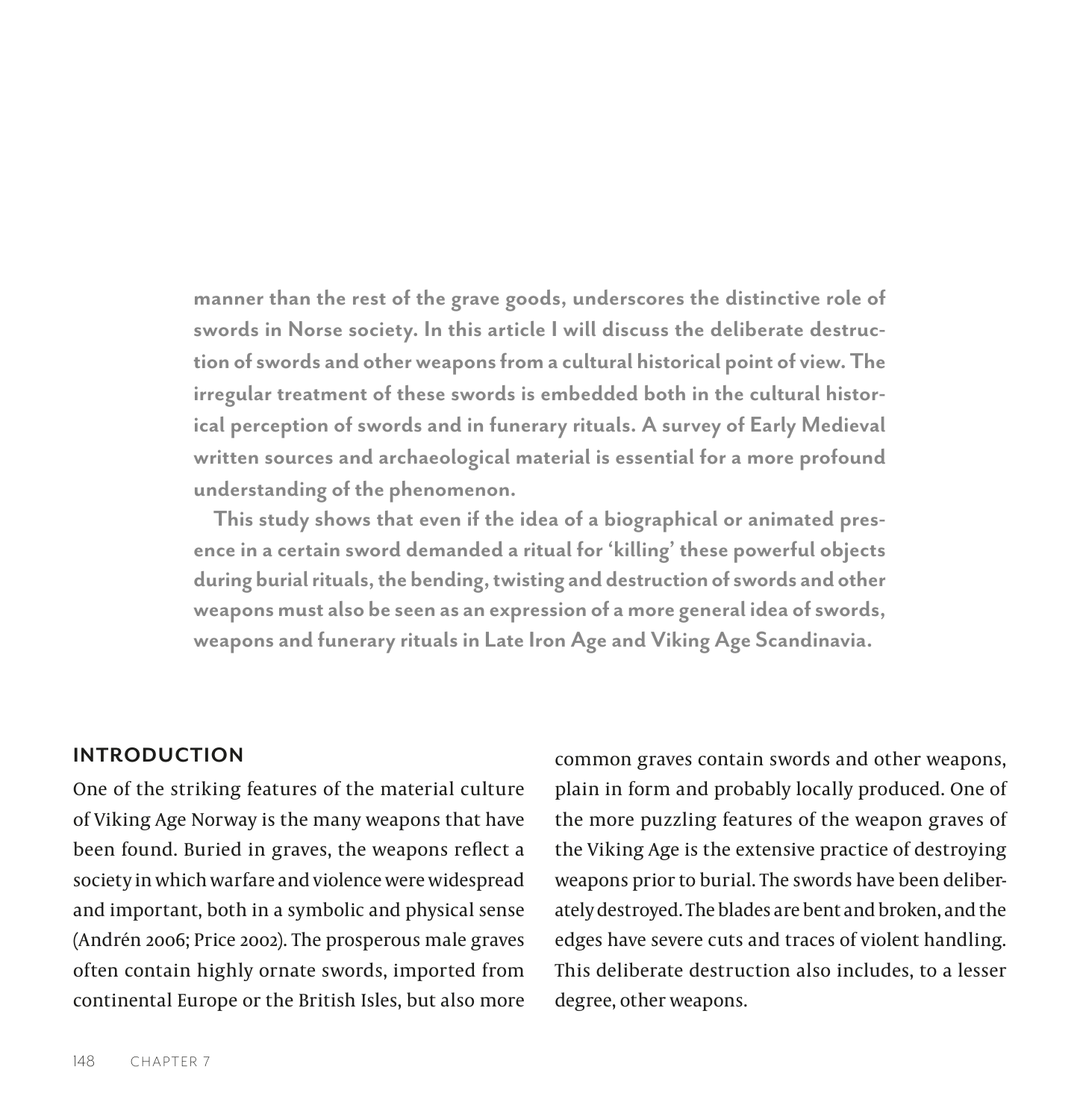**manner than the rest of the grave goods, underscores the distinctive role of swords in Norse society. In this article I will discuss the deliberate destruction of swords and other weapons from a cultural historical point of view. The irregular treatment of these swords is embedded both in the cultural historical perception of swords and in funerary rituals. A survey of Early Medieval written sources and archaeological material is essential for a more profound understanding of the phenomenon.**

**This study shows that even if the idea of a biographical or animated presence in a certain sword demanded a ritual for 'killing' these powerful objects during burial rituals, the bending, twisting and destruction of swords and other weapons must also be seen as an expression of a more general idea of swords, weapons and funerary rituals in Late Iron Age and Viking Age Scandinavia.**

### **INTRODUCTION**

One of the striking features of the material culture of Viking Age Norway is the many weapons that have been found. Buried in graves, the weapons reflect a society in which warfare and violence were widespread and important, both in a symbolic and physical sense (Andrén 2006; Price 2002). The prosperous male graves often contain highly ornate swords, imported from continental Europe or the British Isles, but also more common graves contain swords and other weapons, plain in form and probably locally produced. One of the more puzzling features of the weapon graves of the Viking Age is the extensive practice of destroying weapons prior to burial. The swords have been deliberately destroyed. The blades are bent and broken, and the edges have severe cuts and traces of violent handling. This deliberate destruction also includes, to a lesser degree, other weapons.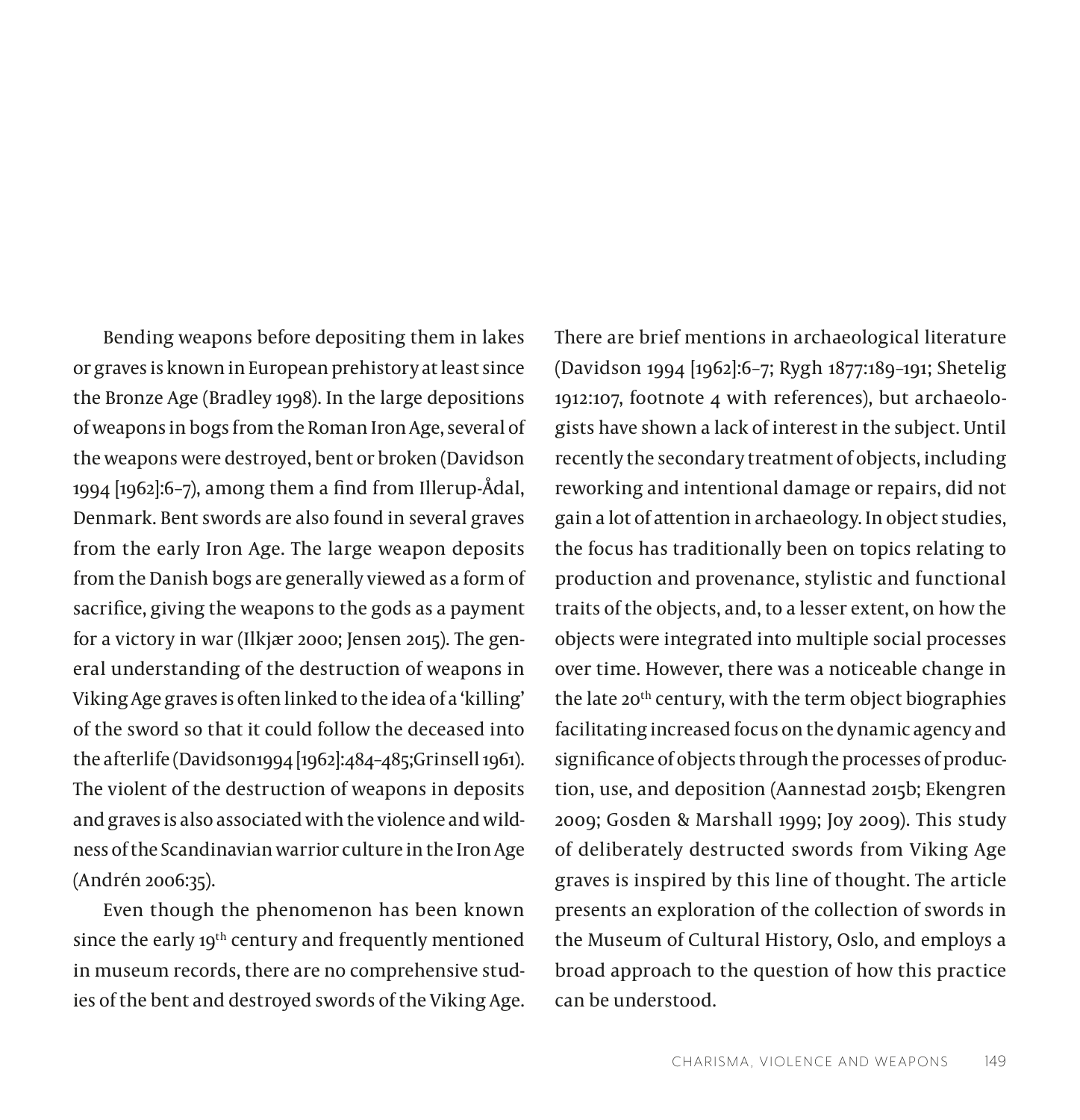Bending weapons before depositing them in lakes or graves is known in European prehistory at least since the Bronze Age (Bradley 1998). In the large depositions of weapons in bogs from the Roman Iron Age, several of the weapons were destroyed, bent or broken (Davidson 1994 [1962]:6–7), among them a find from Illerup-Ådal, Denmark. Bent swords are also found in several graves from the early Iron Age. The large weapon deposits from the Danish bogs are generally viewed as a form of sacrifice, giving the weapons to the gods as a payment for a victory in war (Ilkjær 2000; Jensen 2015). The general understanding of the destruction of weapons in Viking Age graves is often linked to the idea of a 'killing' of the sword so that it could follow the deceased into the afterlife (Davidson1994 [1962]:484–485;Grinsell 1961). The violent of the destruction of weapons in deposits and graves is also associated with the violence and wildness of the Scandinavian warrior culture in the Iron Age (Andrén 2006:35).

Even though the phenomenon has been known since the early 19<sup>th</sup> century and frequently mentioned in museum records, there are no comprehensive studies of the bent and destroyed swords of the Viking Age.

There are brief mentions in archaeological literature (Davidson 1994 [1962]:6–7; Rygh 1877:189–191; Shetelig 1912:107, footnote 4 with references), but archaeologists have shown a lack of interest in the subject. Until recently the secondary treatment of objects, including reworking and intentional damage or repairs, did not gain a lot of attention in archaeology. In object studies, the focus has traditionally been on topics relating to production and provenance, stylistic and functional traits of the objects, and, to a lesser extent, on how the objects were integrated into multiple social processes over time. However, there was a noticeable change in the late 20<sup>th</sup> century, with the term object biographies facilitating increased focus on the dynamic agency and significance of objects through the processes of production, use, and deposition (Aannestad 2015b; Ekengren 2009; Gosden & Marshall 1999; Joy 2009). This study of deliberately destructed swords from Viking Age graves is inspired by this line of thought. The article presents an exploration of the collection of swords in the Museum of Cultural History, Oslo, and employs a broad approach to the question of how this practice can be understood.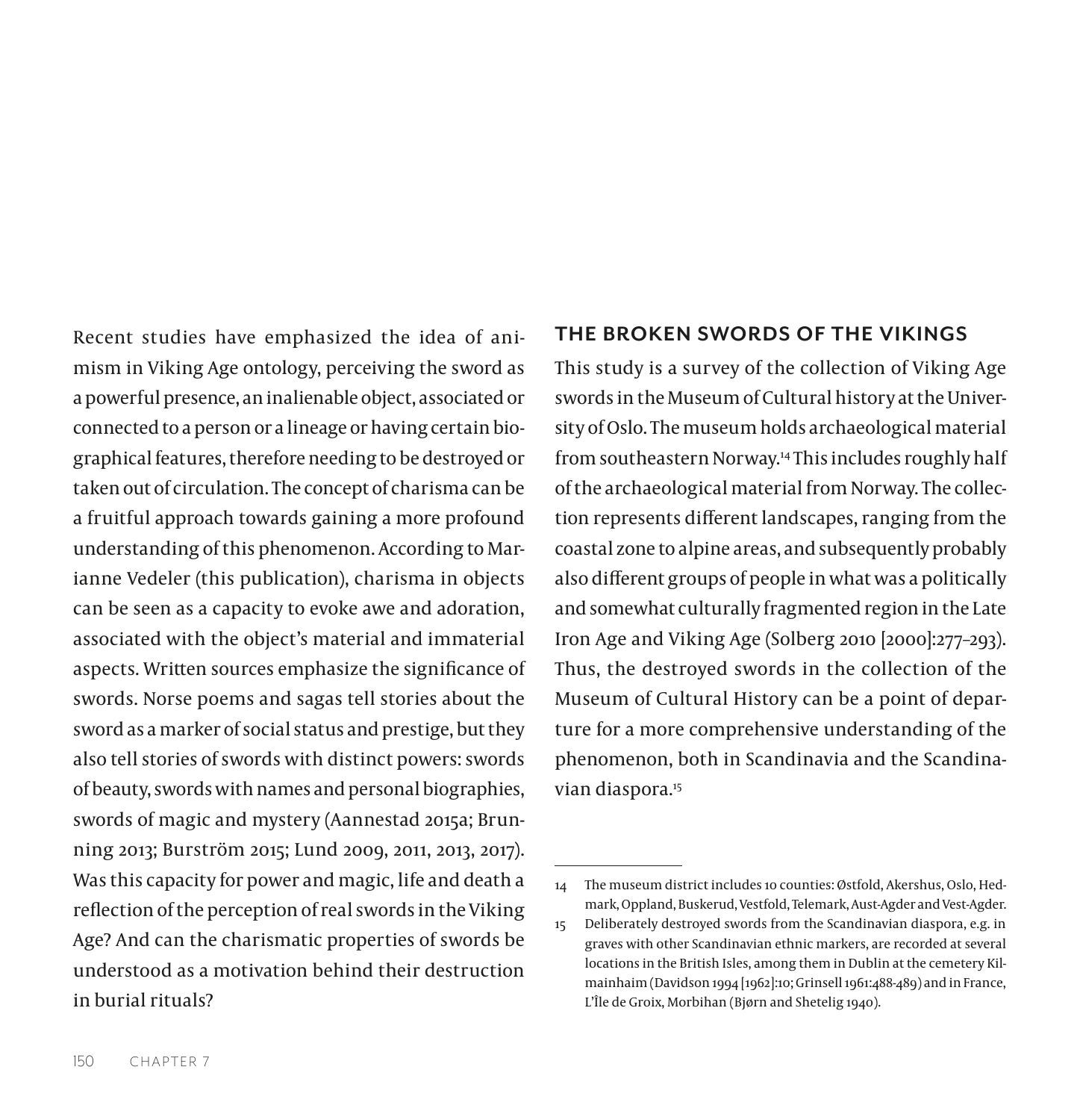Recent studies have emphasized the idea of animism in Viking Age ontology, perceiving the sword as a powerful presence, an inalienable object, associated or connected to a person or a lineage or having certain biographical features, therefore needing to be destroyed or taken out of circulation. The concept of charisma can be a fruitful approach towards gaining a more profound understanding of this phenomenon. According to Marianne Vedeler (this publication), charisma in objects can be seen as a capacity to evoke awe and adoration, associated with the object's material and immaterial aspects. Written sources emphasize the significance of swords. Norse poems and sagas tell stories about the sword as a marker of social status and prestige, but they also tell stories of swords with distinct powers: swords of beauty, swords with names and personal biographies, swords of magic and mystery (Aannestad 2015a; Brunning 2013; Burström 2015; Lund 2009, 2011, 2013, 2017). Was this capacity for power and magic, life and death a reflection of the perception of real swords in the Viking Age? And can the charismatic properties of swords be understood as a motivation behind their destruction in burial rituals?

### **THE BROKEN SWORDS OF THE VIKINGS**

This study is a survey of the collection of Viking Age swords in the Museum of Cultural history at the University of Oslo. The museum holds archaeological material from southeastern Norway.14 This includes roughly half of the archaeological material from Norway. The collection represents different landscapes, ranging from the coastal zone to alpine areas, and subsequently probably also different groups of people in what was a politically and somewhat culturally fragmented region in the Late Iron Age and Viking Age (Solberg 2010 [2000]:277–293). Thus, the destroyed swords in the collection of the Museum of Cultural History can be a point of departure for a more comprehensive understanding of the phenomenon, both in Scandinavia and the Scandinavian diaspora.<sup>15</sup>

<sup>14</sup> The museum district includes 10 counties: Østfold, Akershus, Oslo, Hedmark, Oppland, Buskerud, Vestfold, Telemark, Aust-Agder and Vest-Agder.

<sup>15</sup> Deliberately destroyed swords from the Scandinavian diaspora, e.g. in graves with other Scandinavian ethnic markers, are recorded at several locations in the British Isles, among them in Dublin at the cemetery Kilmainhaim (Davidson 1994 [1962]:10; Grinsell 1961:488-489) and in France, L'Île de Groix, Morbihan (Bjørn and Shetelig 1940).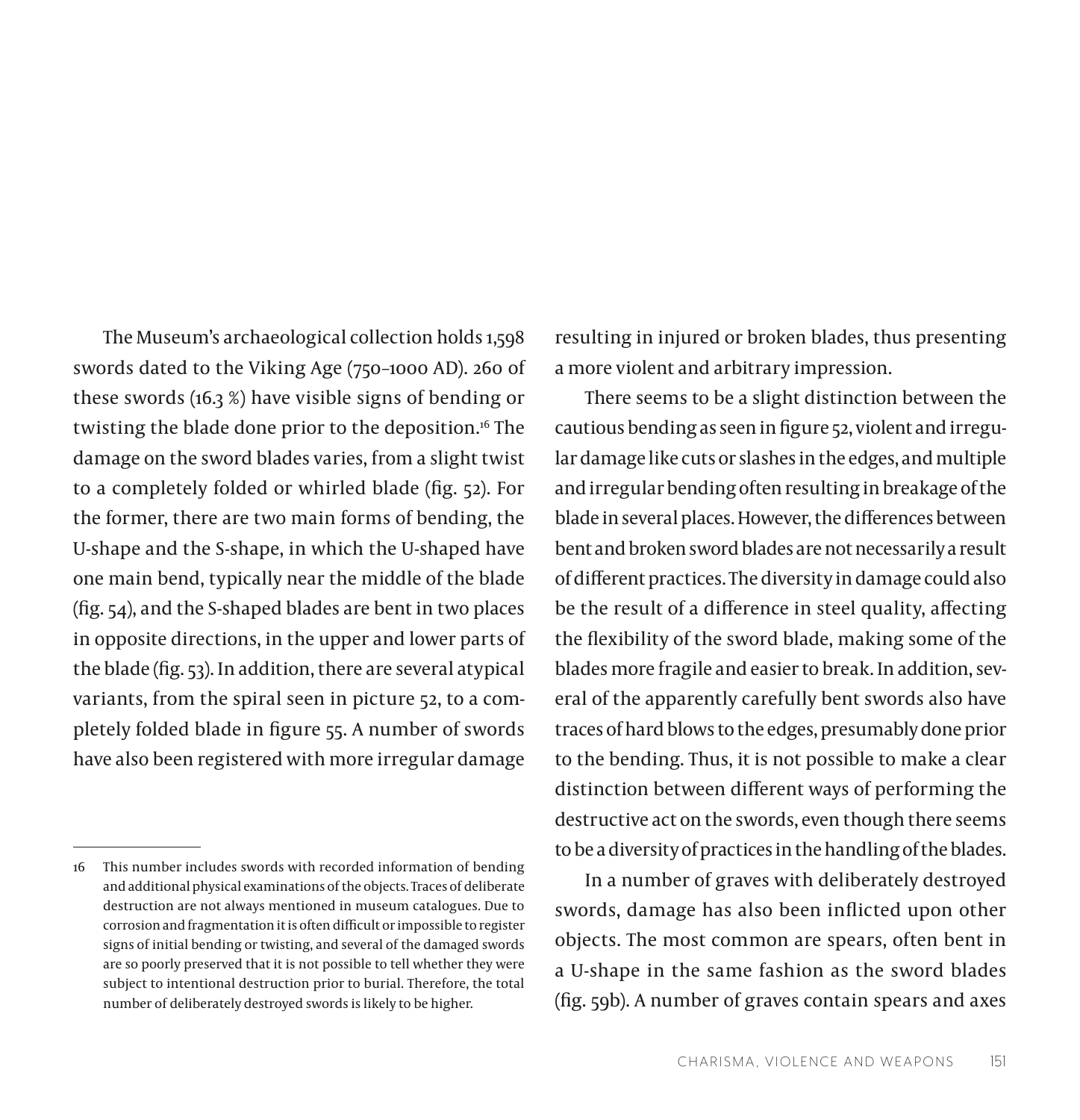The Museum's archaeological collection holds 1,598 swords dated to the Viking Age (750–1000 AD). 260 of these swords (16.3 %) have visible signs of bending or twisting the blade done prior to the deposition.<sup>16</sup> The damage on the sword blades varies, from a slight twist to a completely folded or whirled blade (fig. 52). For the former, there are two main forms of bending, the U-shape and the S-shape, in which the U-shaped have one main bend, typically near the middle of the blade (fig. 54), and the S-shaped blades are bent in two places in opposite directions, in the upper and lower parts of the blade (fig. 53). In addition, there are several atypical variants, from the spiral seen in picture 52, to a completely folded blade in figure 55. A number of swords have also been registered with more irregular damage

resulting in injured or broken blades, thus presenting a more violent and arbitrary impression.

There seems to be a slight distinction between the cautious bending as seen in figure 52, violent and irregular damage like cuts or slashes in the edges, and multiple and irregular bending often resulting in breakage of the blade in several places. However, the differences between bent and broken sword blades are not necessarily a result of different practices. The diversity in damage could also be the result of a difference in steel quality, affecting the flexibility of the sword blade, making some of the blades more fragile and easier to break. In addition, several of the apparently carefully bent swords also have traces of hard blows to the edges, presumably done prior to the bending. Thus, it is not possible to make a clear distinction between different ways of performing the destructive act on the swords, even though there seems to be a diversity of practices in the handling of the blades.

In a number of graves with deliberately destroyed swords, damage has also been inflicted upon other objects. The most common are spears, often bent in a U-shape in the same fashion as the sword blades (fig. 59b). A number of graves contain spears and axes

<sup>16</sup> This number includes swords with recorded information of bending and additional physical examinations of the objects. Traces of deliberate destruction are not always mentioned in museum catalogues. Due to corrosion and fragmentation it is often difficult or impossible to register signs of initial bending or twisting, and several of the damaged swords are so poorly preserved that it is not possible to tell whether they were subject to intentional destruction prior to burial. Therefore, the total number of deliberately destroyed swords is likely to be higher.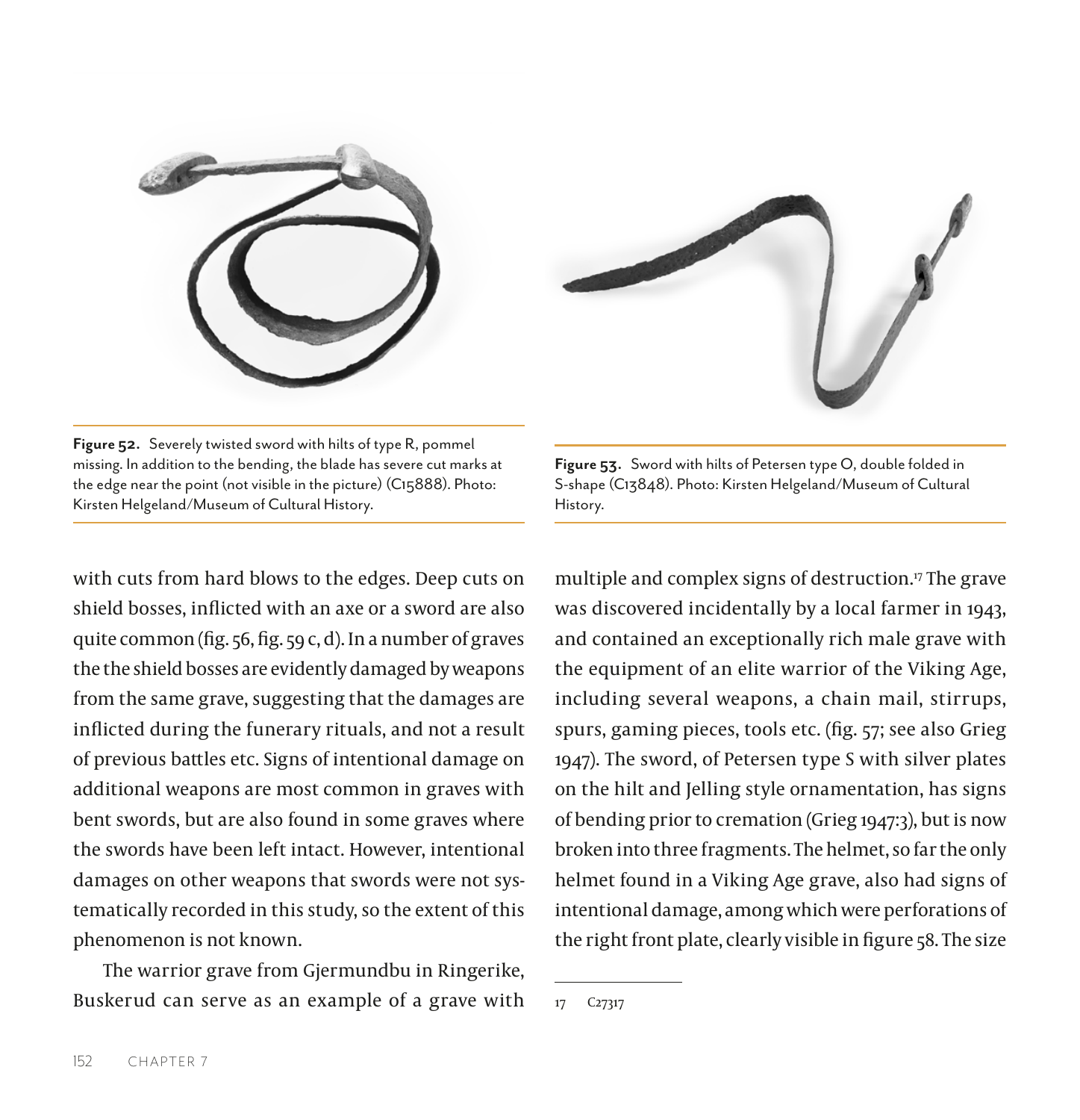



**Figure 52.** Severely twisted sword with hilts of type R, pommel missing. In addition to the bending, the blade has severe cut marks at the edge near the point (not visible in the picture) (C15888). Photo: Kirsten Helgeland/Museum of Cultural History.

with cuts from hard blows to the edges. Deep cuts on shield bosses, inflicted with an axe or a sword are also quite common (fig. 56, fig. 59 c, d). In a number of graves the the shield bosses are evidently damaged by weapons from the same grave, suggesting that the damages are inflicted during the funerary rituals, and not a result of previous battles etc. Signs of intentional damage on additional weapons are most common in graves with bent swords, but are also found in some graves where the swords have been left intact. However, intentional damages on other weapons that swords were not systematically recorded in this study, so the extent of this phenomenon is not known.

The warrior grave from Gjermundbu in Ringerike, Buskerud can serve as an example of a grave with

**Figure 53.** Sword with hilts of Petersen type O, double folded in S-shape (C13848). Photo: Kirsten Helgeland/Museum of Cultural History.

multiple and complex signs of destruction.<sup>17</sup> The grave was discovered incidentally by a local farmer in 1943, and contained an exceptionally rich male grave with the equipment of an elite warrior of the Viking Age, including several weapons, a chain mail, stirrups, spurs, gaming pieces, tools etc. (fig. 57; see also Grieg 1947). The sword, of Petersen type S with silver plates on the hilt and Jelling style ornamentation, has signs of bending prior to cremation (Grieg 1947:3), but is now broken into three fragments. The helmet, so far the only helmet found in a Viking Age grave, also had signs of intentional damage, among which were perforations of the right front plate, clearly visible in figure 58. The size

<sup>17</sup> C27317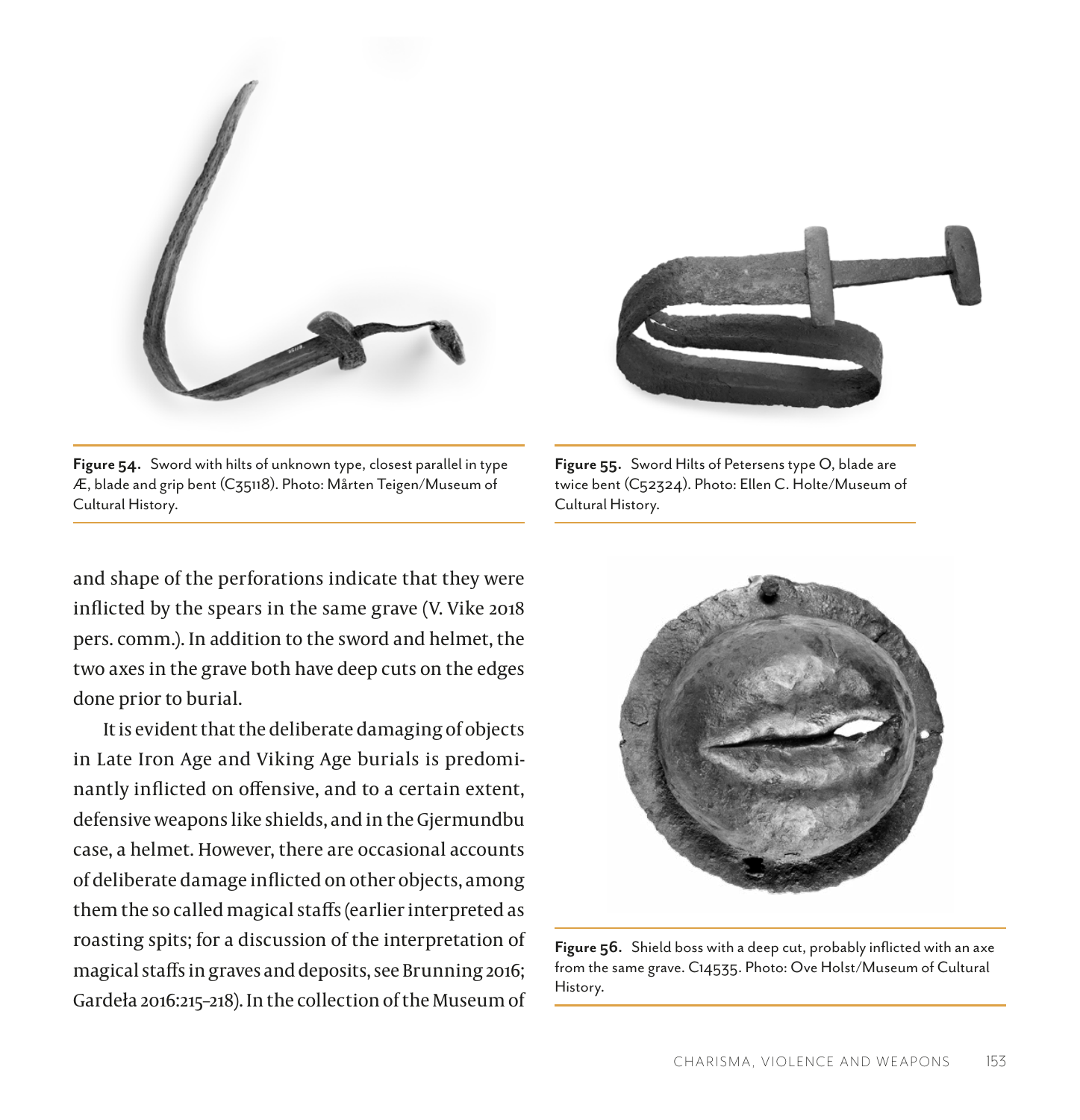

**Figure 54.** Sword with hilts of unknown type, closest parallel in type Æ, blade and grip bent (C35118). Photo: Mårten Teigen/Museum of Cultural History.

and shape of the perforations indicate that they were inflicted by the spears in the same grave (V. Vike 2018 pers. comm.). In addition to the sword and helmet, the two axes in the grave both have deep cuts on the edges done prior to burial.

It is evident that the deliberate damaging of objects in Late Iron Age and Viking Age burials is predominantly inflicted on offensive, and to a certain extent, defensive weapons like shields, and in the Gjermundbu case, a helmet. However, there are occasional accounts of deliberate damage inflicted on other objects, among them the so called magical staffs (earlier interpreted as roasting spits; for a discussion of the interpretation of magical staffs in graves and deposits, see Brunning 2016; Gardeła 2016:215–218). In the collection of the Museum of



**Figure 55.** Sword Hilts of Petersens type O, blade are twice bent (C52324). Photo: Ellen C. Holte/Museum of Cultural History.



**Figure 56.** Shield boss with a deep cut, probably inflicted with an axe from the same grave. C14535. Photo: Ove Holst/Museum of Cultural History.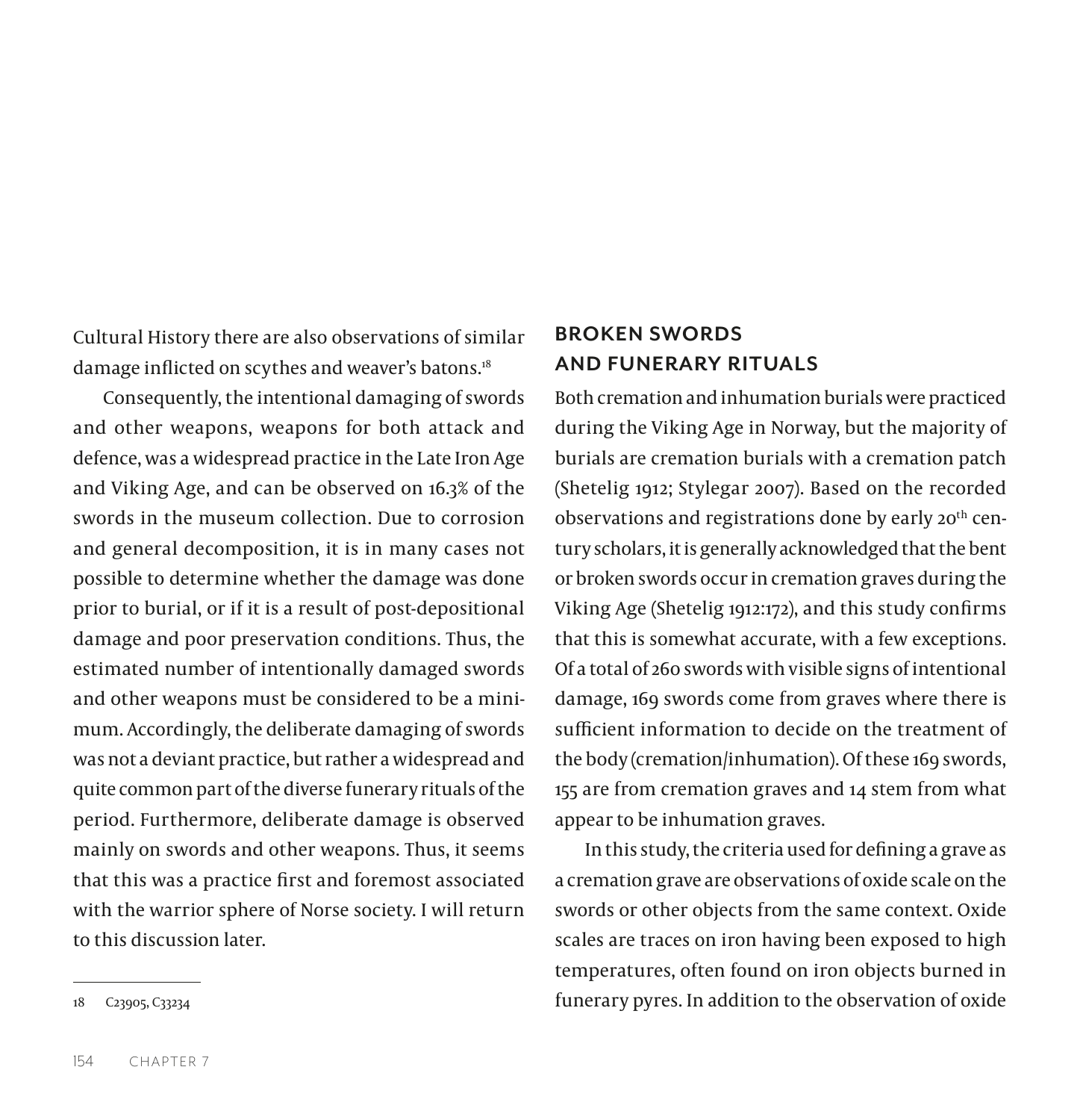Cultural History there are also observations of similar damage inflicted on scythes and weaver's batons.<sup>18</sup>

Consequently, the intentional damaging of swords and other weapons, weapons for both attack and defence, was a widespread practice in the Late Iron Age and Viking Age, and can be observed on 16.3% of the swords in the museum collection. Due to corrosion and general decomposition, it is in many cases not possible to determine whether the damage was done prior to burial, or if it is a result of post-depositional damage and poor preservation conditions. Thus, the estimated number of intentionally damaged swords and other weapons must be considered to be a minimum. Accordingly, the deliberate damaging of swords was not a deviant practice, but rather a widespread and quite common part of the diverse funerary rituals of the period. Furthermore, deliberate damage is observed mainly on swords and other weapons. Thus, it seems that this was a practice first and foremost associated with the warrior sphere of Norse society. I will return to this discussion later.

# **BROKEN SWORDS AND FUNERARY RITUALS**

Both cremation and inhumation burials were practiced during the Viking Age in Norway, but the majority of burials are cremation burials with a cremation patch (Shetelig 1912; Stylegar 2007). Based on the recorded observations and registrations done by early 20<sup>th</sup> century scholars, it is generally acknowledged that the bent or broken swords occur in cremation graves during the Viking Age (Shetelig 1912:172), and this study confirms that this is somewhat accurate, with a few exceptions. Of a total of 260 swords with visible signs of intentional damage, 169 swords come from graves where there is sufficient information to decide on the treatment of the body (cremation/inhumation). Of these 169 swords, 155 are from cremation graves and 14 stem from what appear to be inhumation graves.

In this study, the criteria used for defining a grave as a cremation grave are observations of oxide scale on the swords or other objects from the same context. Oxide scales are traces on iron having been exposed to high temperatures, often found on iron objects burned in funerary pyres. In addition to the observation of oxide

<sup>18</sup> C23905, C33234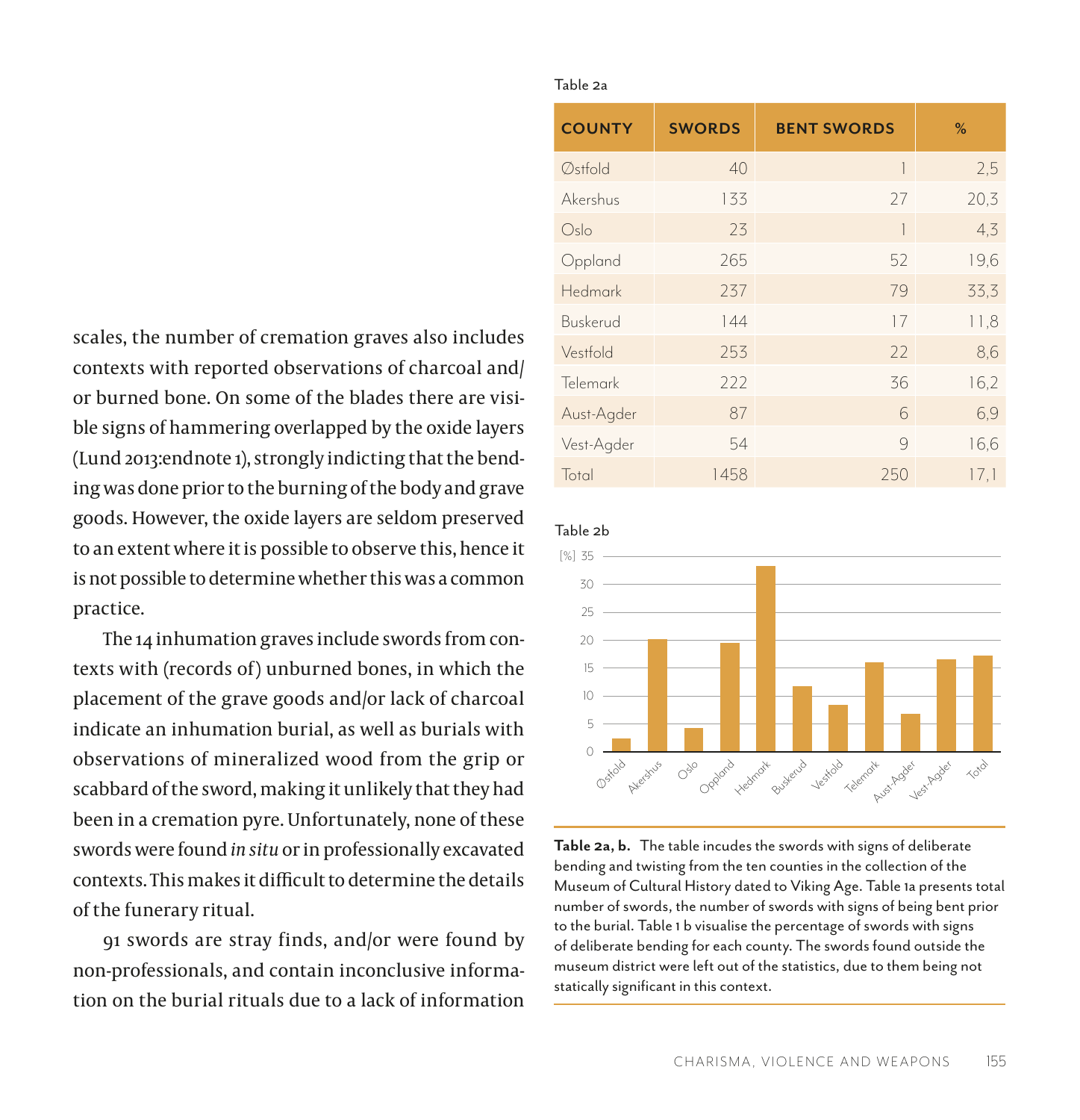scales, the number of cremation graves also includes contexts with reported observations of charcoal and/ or burned bone. On some of the blades there are visible signs of hammering overlapped by the oxide layers (Lund 2013:endnote 1), strongly indicting that the bending was done prior to the burning of the body and grave goods. However, the oxide layers are seldom preserved to an extent where it is possible to observe this, hence it is not possible to determine whether this was a common practice.

The 14 inhumation graves include swords from contexts with (records of) unburned bones, in which the placement of the grave goods and/or lack of charcoal indicate an inhumation burial, as well as burials with observations of mineralized wood from the grip or scabbard of the sword, making it unlikely that they had been in a cremation pyre. Unfortunately, none of these swords were found *in situ* or in professionally excavated contexts. This makes it difficult to determine the details of the funerary ritual.

91 swords are stray finds, and/or were found by non-professionals, and contain inconclusive information on the burial rituals due to a lack of information

#### Table 2a

| <b>COUNTY</b>    | <b>SWORDS</b> | <b>BENT SWORDS</b> | %    |
|------------------|---------------|--------------------|------|
| $\oslash$ stfold | 40            | 1                  | 2,5  |
| Akershus         | 133           | 27                 | 20,3 |
| Oslo             | 23            | 1                  | 4, 3 |
| Oppland          | 265           | 52                 | 19,6 |
| Hedmark          | 237           | 79                 | 33,3 |
| Buskerud         | 144           | 17                 | 11,8 |
| Vestfold         | 253           | 22                 | 8,6  |
| Telemark         | 222           | 36                 | 16,2 |
| Aust-Agder       | 87            | 6                  | 6,9  |
| Vest-Agder       | 54            | 9                  | 16,6 |
| Total            | 1458          | 250                | 17,1 |

#### Table 2b



**Table 2a, b.** The table incudes the swords with signs of deliberate bending and twisting from the ten counties in the collection of the Museum of Cultural History dated to Viking Age. Table 1a presents total number of swords, the number of swords with signs of being bent prior to the burial. Table 1 b visualise the percentage of swords with signs of deliberate bending for each county. The swords found outside the museum district were left out of the statistics, due to them being not statically significant in this context.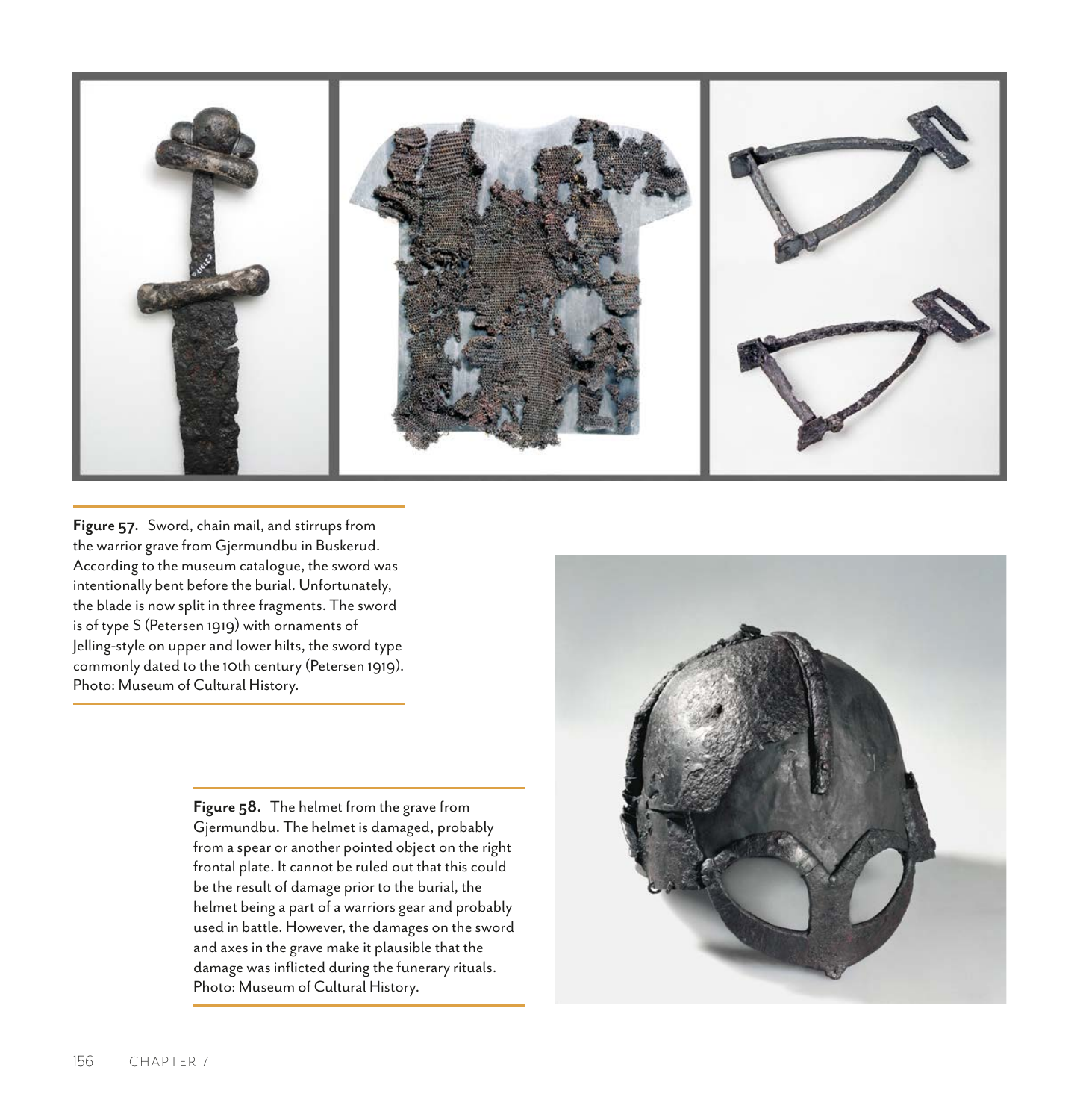

**Figure 57.** Sword, chain mail, and stirrups from the warrior grave from Gjermundbu in Buskerud. According to the museum catalogue, the sword was intentionally bent before the burial. Unfortunately, the blade is now split in three fragments. The sword is of type S (Petersen 1919) with ornaments of Jelling-style on upper and lower hilts, the sword type commonly dated to the 10th century (Petersen 1919). Photo: Museum of Cultural History.

> **Figure 58.** The helmet from the grave from Gjermundbu. The helmet is damaged, probably from a spear or another pointed object on the right frontal plate. It cannot be ruled out that this could be the result of damage prior to the burial, the helmet being a part of a warriors gear and probably used in battle. However, the damages on the sword and axes in the grave make it plausible that the damage was inflicted during the funerary rituals. Photo: Museum of Cultural History.

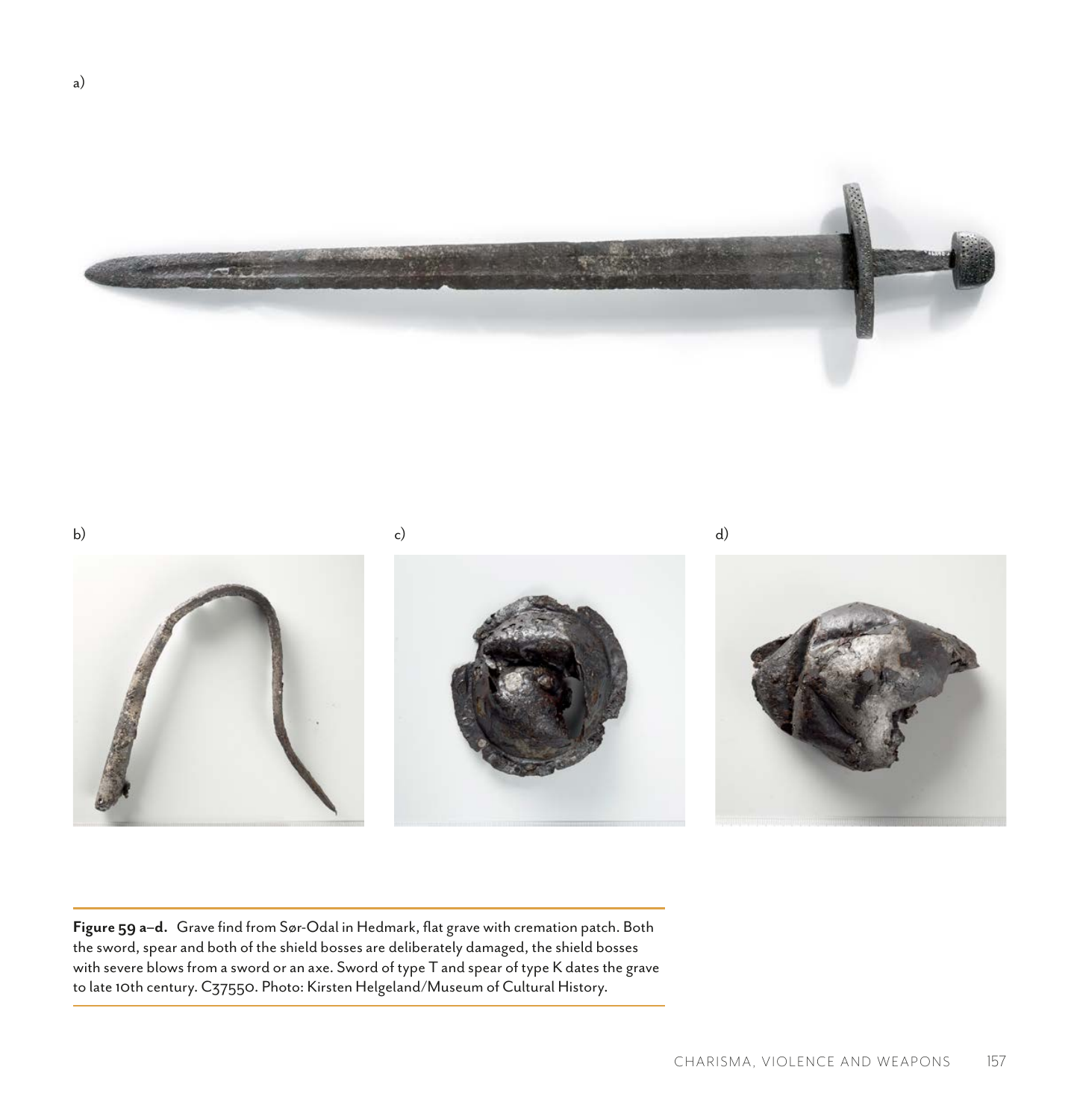

b) c) d)

**Figure 59 a–d.** Grave find from Sør-Odal in Hedmark, flat grave with cremation patch. Both the sword, spear and both of the shield bosses are deliberately damaged, the shield bosses with severe blows from a sword or an axe. Sword of type T and spear of type K dates the grave to late 10th century. C37550. Photo: Kirsten Helgeland/Museum of Cultural History.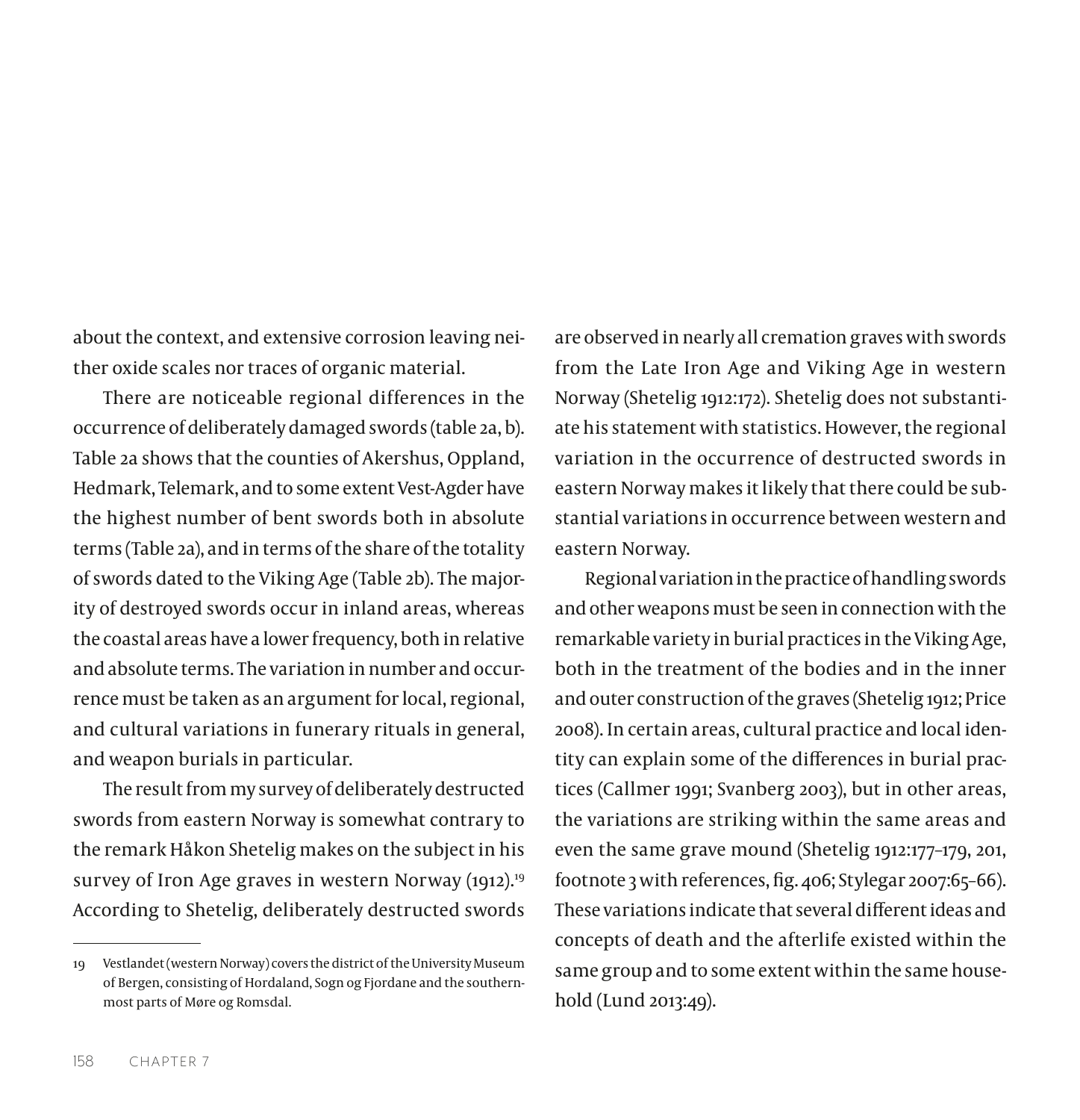about the context, and extensive corrosion leaving neither oxide scales nor traces of organic material.

There are noticeable regional differences in the occurrence of deliberately damaged swords (table 2a, b). Table 2a shows that the counties of Akershus, Oppland, Hedmark, Telemark, and to some extent Vest-Agder have the highest number of bent swords both in absolute terms (Table 2a), and in terms of the share of the totality of swords dated to the Viking Age (Table 2b). The majority of destroyed swords occur in inland areas, whereas the coastal areas have a lower frequency, both in relative and absolute terms. The variation in number and occurrence must be taken as an argument for local, regional, and cultural variations in funerary rituals in general, and weapon burials in particular.

The result from my survey of deliberately destructed swords from eastern Norway is somewhat contrary to the remark Håkon Shetelig makes on the subject in his survey of Iron Age graves in western Norway (1912).<sup>19</sup> According to Shetelig, deliberately destructed swords

are observed in nearly all cremation graves with swords from the Late Iron Age and Viking Age in western Norway (Shetelig 1912:172). Shetelig does not substantiate his statement with statistics. However, the regional variation in the occurrence of destructed swords in eastern Norway makes it likely that there could be substantial variations in occurrence between western and eastern Norway.

Regional variation in the practice of handling swords and other weapons must be seen in connection with the remarkable variety in burial practices in the Viking Age, both in the treatment of the bodies and in the inner and outer construction of the graves (Shetelig 1912; Price 2008). In certain areas, cultural practice and local identity can explain some of the differences in burial practices (Callmer 1991; Svanberg 2003), but in other areas, the variations are striking within the same areas and even the same grave mound (Shetelig 1912:177–179, 201, footnote 3 with references, fig. 406; Stylegar 2007:65–66). These variations indicate that several different ideas and concepts of death and the afterlife existed within the same group and to some extent within the same household (Lund 2013:49).

<sup>19</sup> Vestlandet (western Norway) covers the district of the University Museum of Bergen, consisting of Hordaland, Sogn og Fjordane and the southernmost parts of Møre og Romsdal.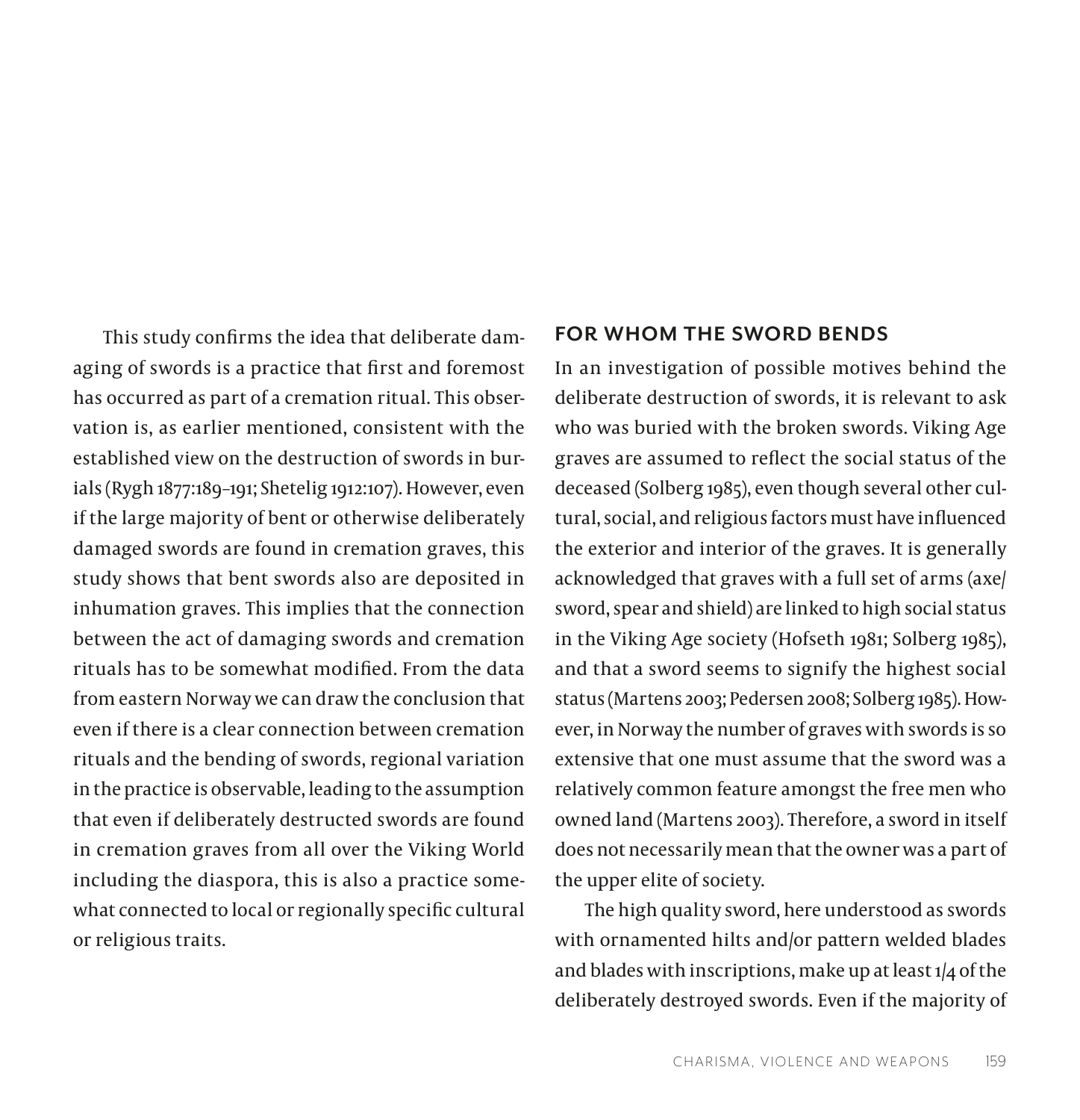This study confirms the idea that deliberate damaging of swords is a practice that first and foremost has occurred as part of a cremation ritual. This observation is, as earlier mentioned, consistent with the established view on the destruction of swords in burials (Rygh 1877:189–191; Shetelig 1912:107). However, even if the large majority of bent or otherwise deliberately damaged swords are found in cremation graves, this study shows that bent swords also are deposited in inhumation graves. This implies that the connection between the act of damaging swords and cremation rituals has to be somewhat modified. From the data from eastern Norway we can draw the conclusion that even if there is a clear connection between cremation rituals and the bending of swords, regional variation in the practice is observable, leading to the assumption that even if deliberately destructed swords are found in cremation graves from all over the Viking World including the diaspora, this is also a practice somewhat connected to local or regionally specific cultural or religious traits.

### **FOR WHOM THE SWORD BENDS**

In an investigation of possible motives behind the deliberate destruction of swords, it is relevant to ask who was buried with the broken swords. Viking Age graves are assumed to reflect the social status of the deceased (Solberg 1985), even though several other cultural, social, and religious factors must have influenced the exterior and interior of the graves. It is generally acknowledged that graves with a full set of arms (axe/ sword, spear and shield) are linked to high social status in the Viking Age society (Hofseth 1981; Solberg 1985), and that a sword seems to signify the highest social status (Martens 2003; Pedersen 2008; Solberg 1985). However, in Norway the number of graves with swords is so extensive that one must assume that the sword was a relatively common feature amongst the free men who owned land (Martens 2003). Therefore, a sword in itself does not necessarily mean that the owner was a part of the upper elite of society.

The high quality sword, here understood as swords with ornamented hilts and/or pattern welded blades and blades with inscriptions, make up at least 1/4 of the deliberately destroyed swords. Even if the majority of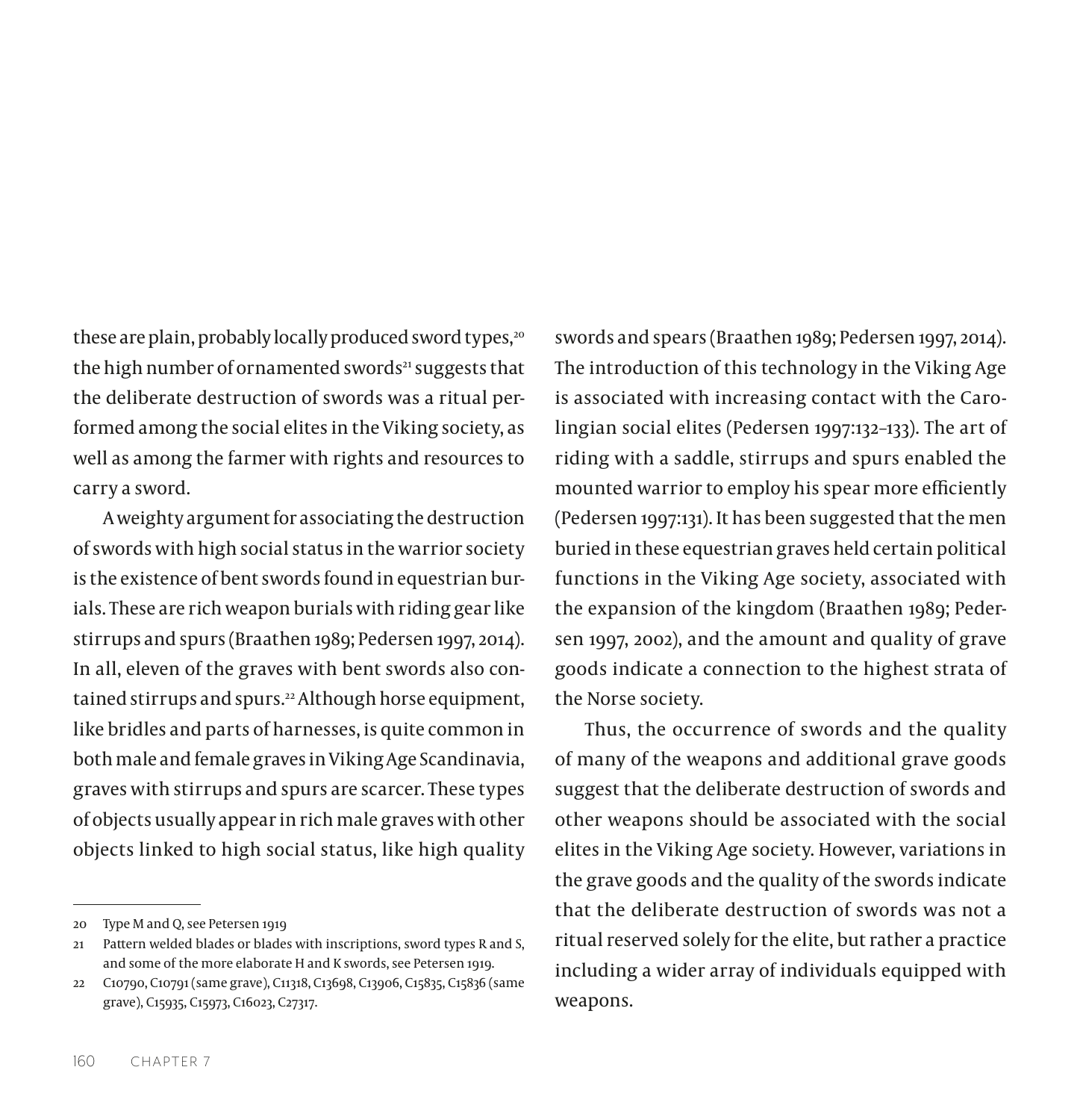these are plain, probably locally produced sword types,<sup>20</sup> the high number of ornamented swords<sup>21</sup> suggests that the deliberate destruction of swords was a ritual performed among the social elites in the Viking society, as well as among the farmer with rights and resources to carry a sword.

A weighty argument for associating the destruction of swords with high social status in the warrior society is the existence of bent swords found in equestrian burials. These are rich weapon burials with riding gear like stirrups and spurs (Braathen 1989; Pedersen 1997, 2014). In all, eleven of the graves with bent swords also contained stirrups and spurs.<sup>22</sup> Although horse equipment, like bridles and parts of harnesses, is quite common in both male and female graves in Viking Age Scandinavia, graves with stirrups and spurs are scarcer. These types of objects usually appear in rich male graves with other objects linked to high social status, like high quality

swords and spears (Braathen 1989; Pedersen 1997, 2014). The introduction of this technology in the Viking Age is associated with increasing contact with the Carolingian social elites (Pedersen 1997:132–133). The art of riding with a saddle, stirrups and spurs enabled the mounted warrior to employ his spear more efficiently (Pedersen 1997:131). It has been suggested that the men buried in these equestrian graves held certain political functions in the Viking Age society, associated with the expansion of the kingdom (Braathen 1989; Pedersen 1997, 2002), and the amount and quality of grave goods indicate a connection to the highest strata of the Norse society.

Thus, the occurrence of swords and the quality of many of the weapons and additional grave goods suggest that the deliberate destruction of swords and other weapons should be associated with the social elites in the Viking Age society. However, variations in the grave goods and the quality of the swords indicate that the deliberate destruction of swords was not a ritual reserved solely for the elite, but rather a practice including a wider array of individuals equipped with weapons.

<sup>20</sup> Type M and Q, see Petersen 1919

<sup>21</sup> Pattern welded blades or blades with inscriptions, sword types R and S, and some of the more elaborate H and K swords, see Petersen 1919.

<sup>22</sup> C10790, C10791 (same grave), C11318, C13698, C13906, C15835, C15836 (same grave), C15935, C15973, C16023, C27317.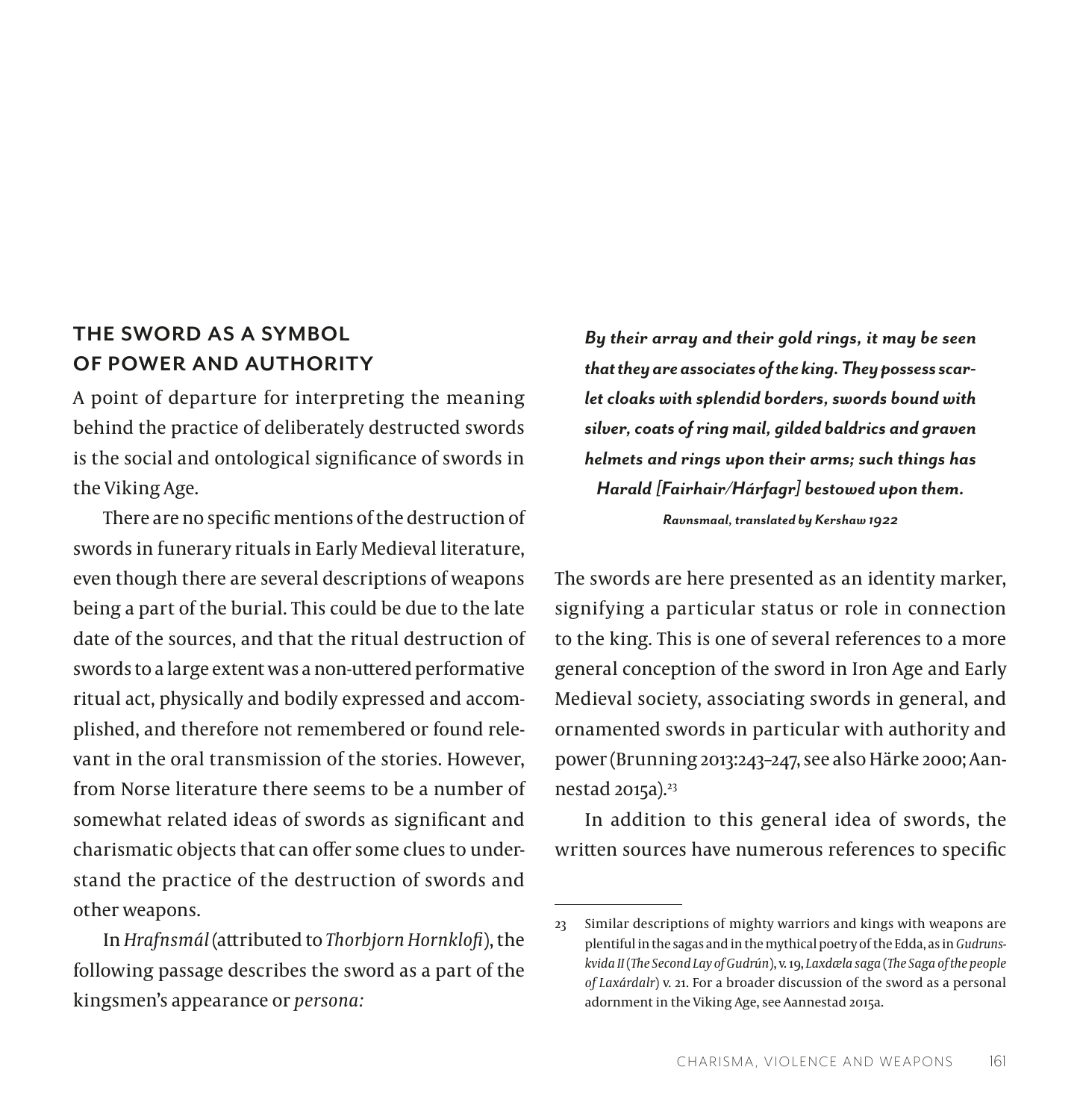### **THE SWORD AS A SYMBOL OF POWER AND AUTHORITY**

A point of departure for interpreting the meaning behind the practice of deliberately destructed swords is the social and ontological significance of swords in the Viking Age.

There are no specific mentions of the destruction of swords in funerary rituals in Early Medieval literature, even though there are several descriptions of weapons being a part of the burial. This could be due to the late date of the sources, and that the ritual destruction of swords to a large extent was a non-uttered performative ritual act, physically and bodily expressed and accomplished, and therefore not remembered or found relevant in the oral transmission of the stories. However, from Norse literature there seems to be a number of somewhat related ideas of swords as significant and charismatic objects that can offer some clues to understand the practice of the destruction of swords and other weapons.

In *Hrafnsmál* (attributed to *Thorbjorn Hornklofi*), the following passage describes the sword as a part of the kingsmen's appearance or *persona:*

*By their array and their gold rings, it may be seen that they are associates of the king. They possess scarlet cloaks with splendid borders, swords bound with silver, coats of ring mail, gilded baldrics and graven helmets and rings upon their arms; such things has Harald [Fairhair/Hárfagr] bestowed upon them.*

*Ravnsmaal, translated by Kershaw 1922*

The swords are here presented as an identity marker, signifying a particular status or role in connection to the king. This is one of several references to a more general conception of the sword in Iron Age and Early Medieval society, associating swords in general, and ornamented swords in particular with authority and power (Brunning 2013:243–247, see also Härke 2000; Aannestad 2015a).<sup>23</sup>

In addition to this general idea of swords, the written sources have numerous references to specific

<sup>23</sup> Similar descriptions of mighty warriors and kings with weapons are plentiful in the sagas and in the mythical poetry of the Edda, as in *Gudrunskvida II* (*The Second Lay of Gudrún*), v. 19, *Laxdæla saga* (*The Saga of the people of Laxárdalr*) v. 21. For a broader discussion of the sword as a personal adornment in the Viking Age, see Aannestad 2015a.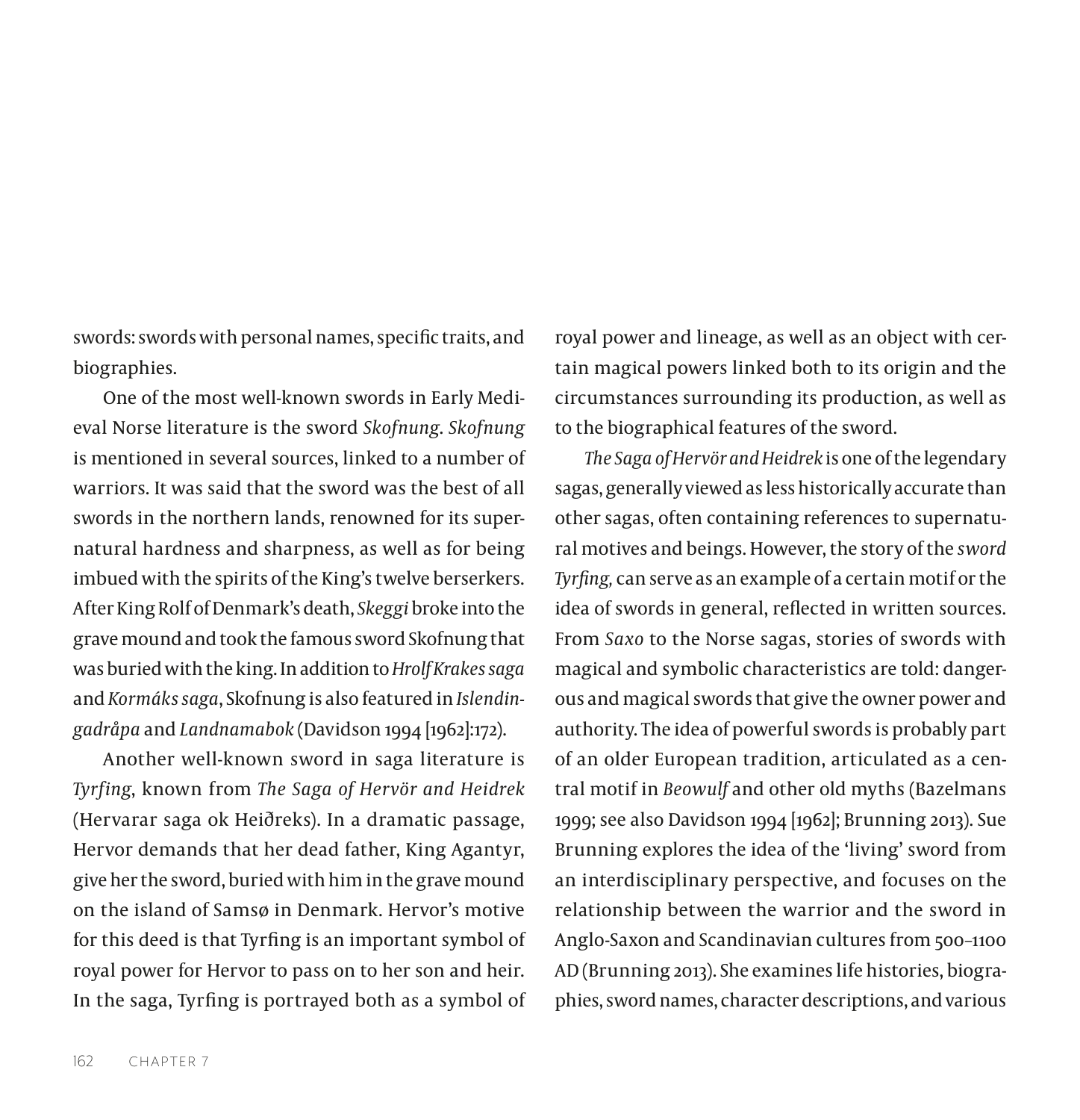swords: swords with personal names, specific traits, and biographies.

One of the most well-known swords in Early Medieval Norse literature is the sword *Skofnung*. *Skofnung* is mentioned in several sources, linked to a number of warriors. It was said that the sword was the best of all swords in the northern lands, renowned for its supernatural hardness and sharpness, as well as for being imbued with the spirits of the King's twelve berserkers. After King Rolf of Denmark's death, *Skeggi* broke into the grave mound and took the famous sword Skofnung that was buried with the king. In addition to *Hrolf Krakes saga*  and *[Kormáks saga](https://en.wikipedia.org/wiki/Korm%C3%A1ks_saga)*, Skofnung is also featured in *Islendingadråpa* and *Landnamabok* (Davidson 1994 [1962]:172).

Another well-known sword in saga literature is *Tyrfing*, known from *The Saga of Hervör and Heidrek* (Hervarar saga ok Heiðreks). In a dramatic passage, Hervor demands that her dead father, King Agantyr, give her the sword, buried with him in the grave mound on the island of Samsø in Denmark. Hervor's motive for this deed is that Tyrfing is an important symbol of royal power for Hervor to pass on to her son and heir. In the saga, Tyrfing is portrayed both as a symbol of

royal power and lineage, as well as an object with certain magical powers linked both to its origin and the circumstances surrounding its production, as well as to the biographical features of the sword.

*The Saga of Hervör and Heidrek* is one of the legendary sagas, generally viewed as less historically accurate than other sagas, often containing references to supernatural motives and beings. However, the story of the *sword Tyrfing,* can serve as an example of a certain motif or the idea of swords in general, reflected in written sources. From *Saxo* to the Norse sagas, stories of swords with magical and symbolic characteristics are told: dangerous and magical swords that give the owner power and authority. The idea of powerful swords is probably part of an older European tradition, articulated as a central motif in *Beowulf* and other old myths (Bazelmans 1999; see also Davidson 1994 [1962]; Brunning 2013). Sue Brunning explores the idea of the 'living' sword from an interdisciplinary perspective, and focuses on the relationship between the warrior and the sword in Anglo-Saxon and Scandinavian cultures from 500–1100 AD (Brunning 2013). She examines life histories, biographies, sword names, character descriptions, and various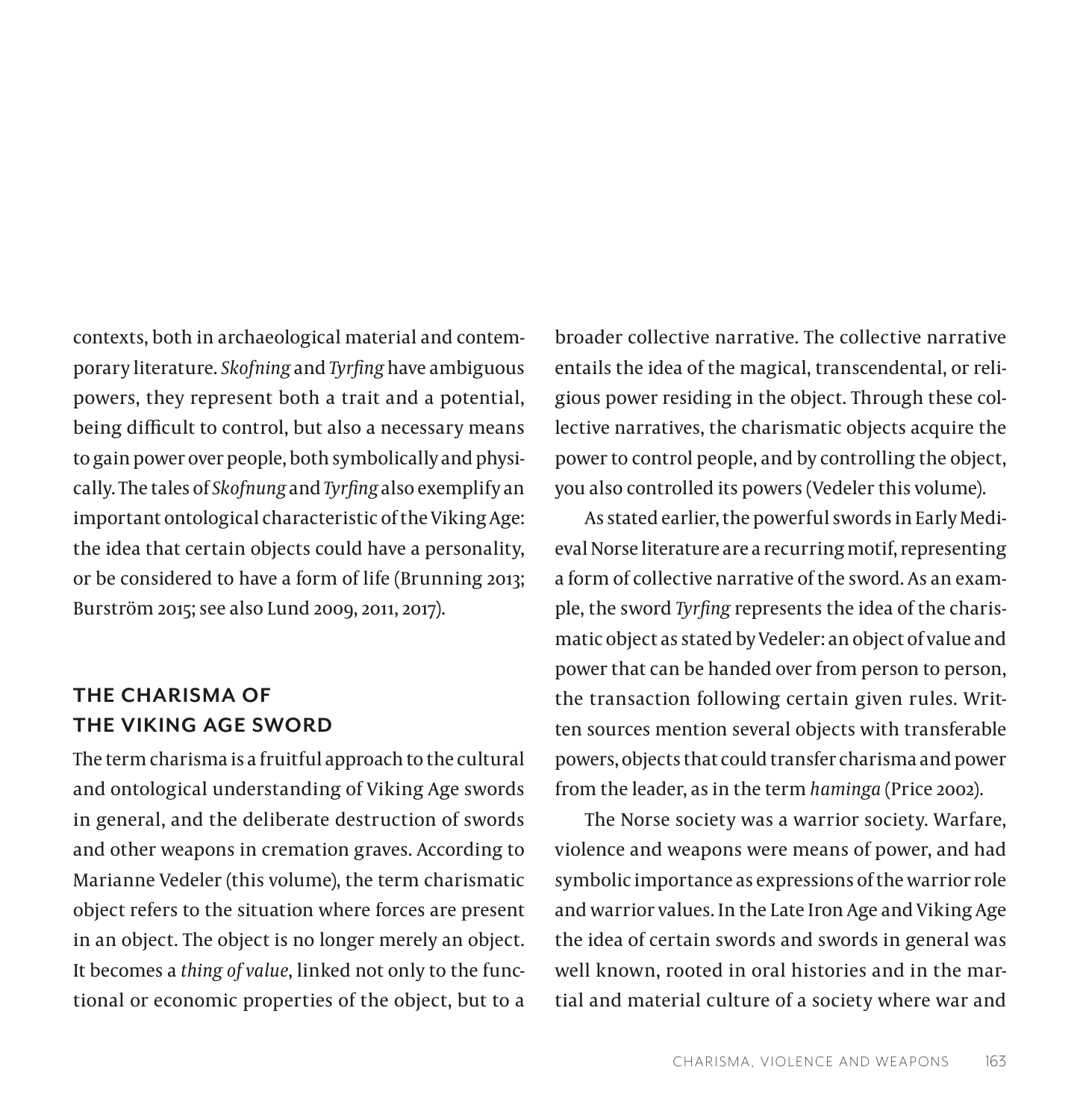contexts, both in archaeological material and contemporary literature. *Skofning* and *Tyrfing* have ambiguous powers, they represent both a trait and a potential, being difficult to control, but also a necessary means to gain power over people, both symbolically and physically. The tales of *Skofnung* and *Tyrfing* also exemplify an important ontological characteristic of the Viking Age: the idea that certain objects could have a personality, or be considered to have a form of life (Brunning 2013; Burström 2015; see also Lund 2009, 2011, 2017).

# **THE CHARISMA OF THE VIKING AGE SWORD**

The term charisma is a fruitful approach to the cultural and ontological understanding of Viking Age swords in general, and the deliberate destruction of swords and other weapons in cremation graves. According to Marianne Vedeler (this volume), the term charismatic object refers to the situation where forces are present in an object. The object is no longer merely an object. It becomes a *thing of value*, linked not only to the functional or economic properties of the object, but to a

broader collective narrative. The collective narrative entails the idea of the magical, transcendental, or religious power residing in the object. Through these collective narratives, the charismatic objects acquire the power to control people, and by controlling the object, you also controlled its powers (Vedeler this volume).

As stated earlier, the powerful swords in Early Medieval Norse literature are a recurring motif, representing a form of collective narrative of the sword. As an example, the sword *Tyrfing* represents the idea of the charismatic object as stated by Vedeler: an object of value and power that can be handed over from person to person, the transaction following certain given rules. Written sources mention several objects with transferable powers, objects that could transfer charisma and power from the leader, as in the term *haminga* (Price 2002).

The Norse society was a warrior society. Warfare, violence and weapons were means of power, and had symbolic importance as expressions of the warrior role and warrior values. In the Late Iron Age and Viking Age the idea of certain swords and swords in general was well known, rooted in oral histories and in the martial and material culture of a society where war and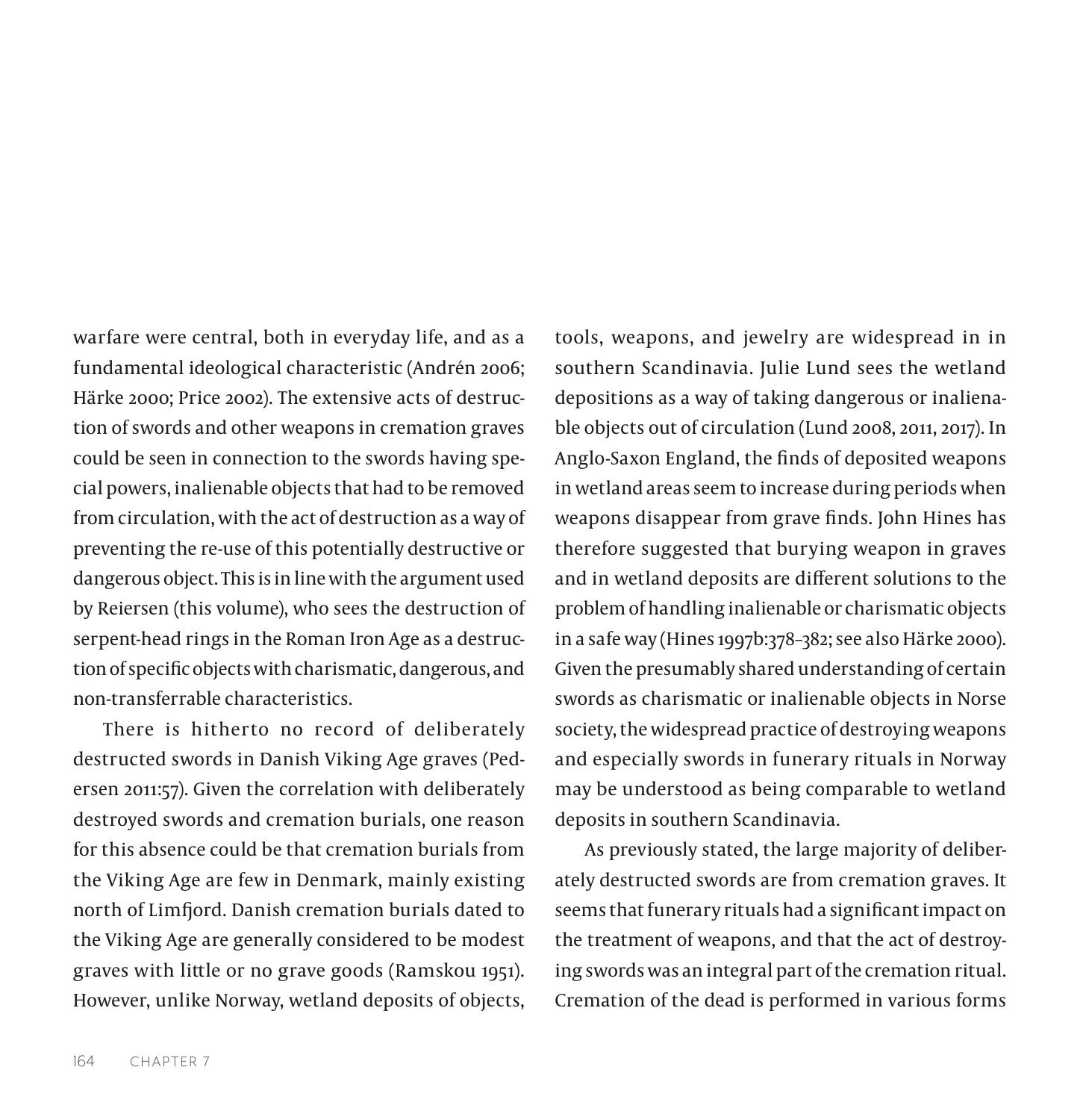warfare were central, both in everyday life, and as a fundamental ideological characteristic (Andrén 2006; Härke 2000; Price 2002). The extensive acts of destruction of swords and other weapons in cremation graves could be seen in connection to the swords having special powers, inalienable objects that had to be removed from circulation, with the act of destruction as a way of preventing the re-use of this potentially destructive or dangerous object. This is in line with the argument used by Reiersen (this volume), who sees the destruction of serpent-head rings in the Roman Iron Age as a destruction of specific objects with charismatic, dangerous, and non-transferrable characteristics.

There is hitherto no record of deliberately destructed swords in Danish Viking Age graves (Pedersen 2011:57). Given the correlation with deliberately destroyed swords and cremation burials, one reason for this absence could be that cremation burials from the Viking Age are few in Denmark, mainly existing north of Limfjord. Danish cremation burials dated to the Viking Age are generally considered to be modest graves with little or no grave goods (Ramskou 1951). However, unlike Norway, wetland deposits of objects,

tools, weapons, and jewelry are widespread in in southern Scandinavia. Julie Lund sees the wetland depositions as a way of taking dangerous or inalienable objects out of circulation (Lund 2008, 2011, 2017). In Anglo-Saxon England, the finds of deposited weapons in wetland areas seem to increase during periods when weapons disappear from grave finds. John Hines has therefore suggested that burying weapon in graves and in wetland deposits are different solutions to the problem of handling inalienable or charismatic objects in a safe way (Hines 1997b:378–382; see also Härke 2000). Given the presumably shared understanding of certain swords as charismatic or inalienable objects in Norse society, the widespread practice of destroying weapons and especially swords in funerary rituals in Norway may be understood as being comparable to wetland deposits in southern Scandinavia.

As previously stated, the large majority of deliberately destructed swords are from cremation graves. It seems that funerary rituals had a significant impact on the treatment of weapons, and that the act of destroying swords was an integral part of the cremation ritual. Cremation of the dead is performed in various forms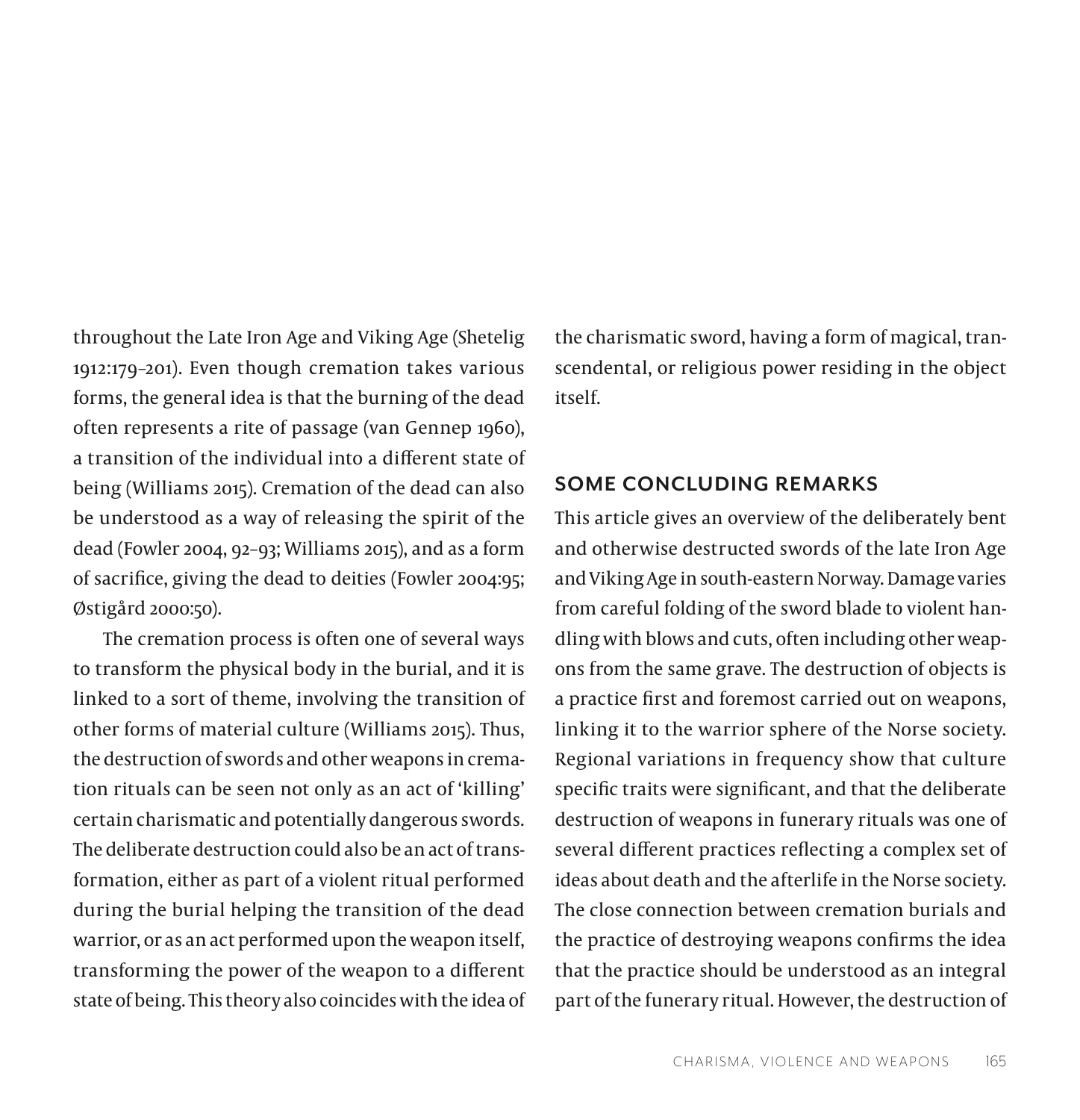throughout the Late Iron Age and Viking Age (Shetelig 1912:179–201). Even though cremation takes various forms, the general idea is that the burning of the dead often represents a rite of passage (van Gennep 1960), a transition of the individual into a different state of being (Williams 2015). Cremation of the dead can also be understood as a way of releasing the spirit of the dead (Fowler 2004, 92–93; Williams 2015), and as a form of sacrifice, giving the dead to deities (Fowler 2004:95; Østigård 2000:50).

The cremation process is often one of several ways to transform the physical body in the burial, and it is linked to a sort of theme, involving the transition of other forms of material culture (Williams 2015). Thus, the destruction of swords and other weapons in cremation rituals can be seen not only as an act of 'killing' certain charismatic and potentially dangerous swords. The deliberate destruction could also be an act of transformation, either as part of a violent ritual performed during the burial helping the transition of the dead warrior, or as an act performed upon the weapon itself, transforming the power of the weapon to a different state of being. This theory also coincides with the idea of

the charismatic sword, having a form of magical, transcendental, or religious power residing in the object itself.

### **SOME CONCLUDING REMARKS**

This article gives an overview of the deliberately bent and otherwise destructed swords of the late Iron Age and Viking Age in south-eastern Norway. Damage varies from careful folding of the sword blade to violent handling with blows and cuts, often including other weapons from the same grave. The destruction of objects is a practice first and foremost carried out on weapons, linking it to the warrior sphere of the Norse society. Regional variations in frequency show that culture specific traits were significant, and that the deliberate destruction of weapons in funerary rituals was one of several different practices reflecting a complex set of ideas about death and the afterlife in the Norse society. The close connection between cremation burials and the practice of destroying weapons confirms the idea that the practice should be understood as an integral part of the funerary ritual. However, the destruction of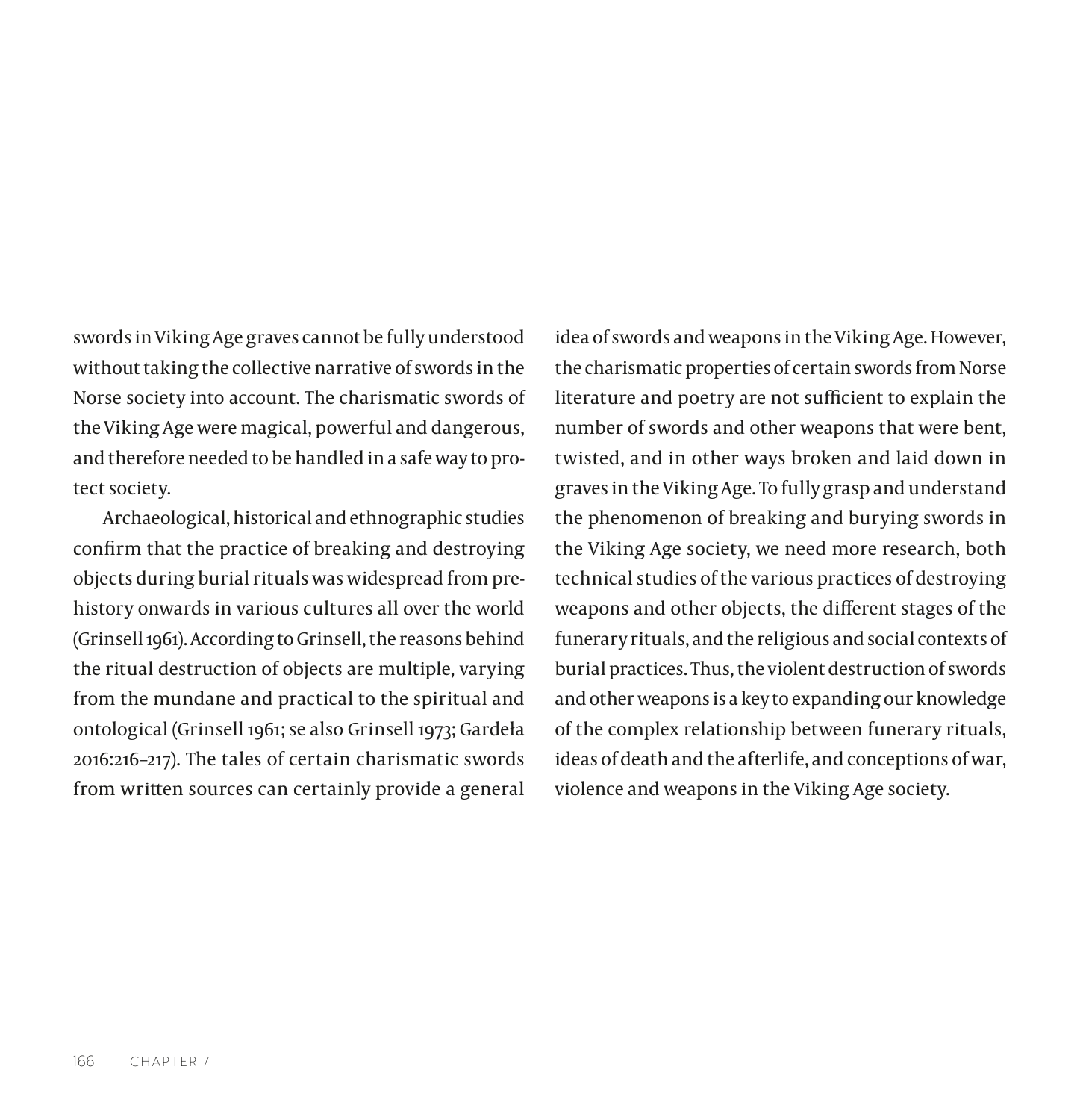swords in Viking Age graves cannot be fully understood without taking the collective narrative of swords in the Norse society into account. The charismatic swords of the Viking Age were magical, powerful and dangerous, and therefore needed to be handled in a safe way to protect society.

Archaeological, historical and ethnographic studies confirm that the practice of breaking and destroying objects during burial rituals was widespread from prehistory onwards in various cultures all over the world (Grinsell 1961). According to Grinsell, the reasons behind the ritual destruction of objects are multiple, varying from the mundane and practical to the spiritual and ontological (Grinsell 1961; se also Grinsell 1973; Gardeła 2016:216–217). The tales of certain charismatic swords from written sources can certainly provide a general

idea of swords and weapons in the Viking Age. However, the charismatic properties of certain swords from Norse literature and poetry are not sufficient to explain the number of swords and other weapons that were bent, twisted, and in other ways broken and laid down in graves in the Viking Age. To fully grasp and understand the phenomenon of breaking and burying swords in the Viking Age society, we need more research, both technical studies of the various practices of destroying weapons and other objects, the different stages of the funerary rituals, and the religious and social contexts of burial practices. Thus, the violent destruction of swords and other weapons is a key to expanding our knowledge of the complex relationship between funerary rituals, ideas of death and the afterlife, and conceptions of war, violence and weapons in the Viking Age society.